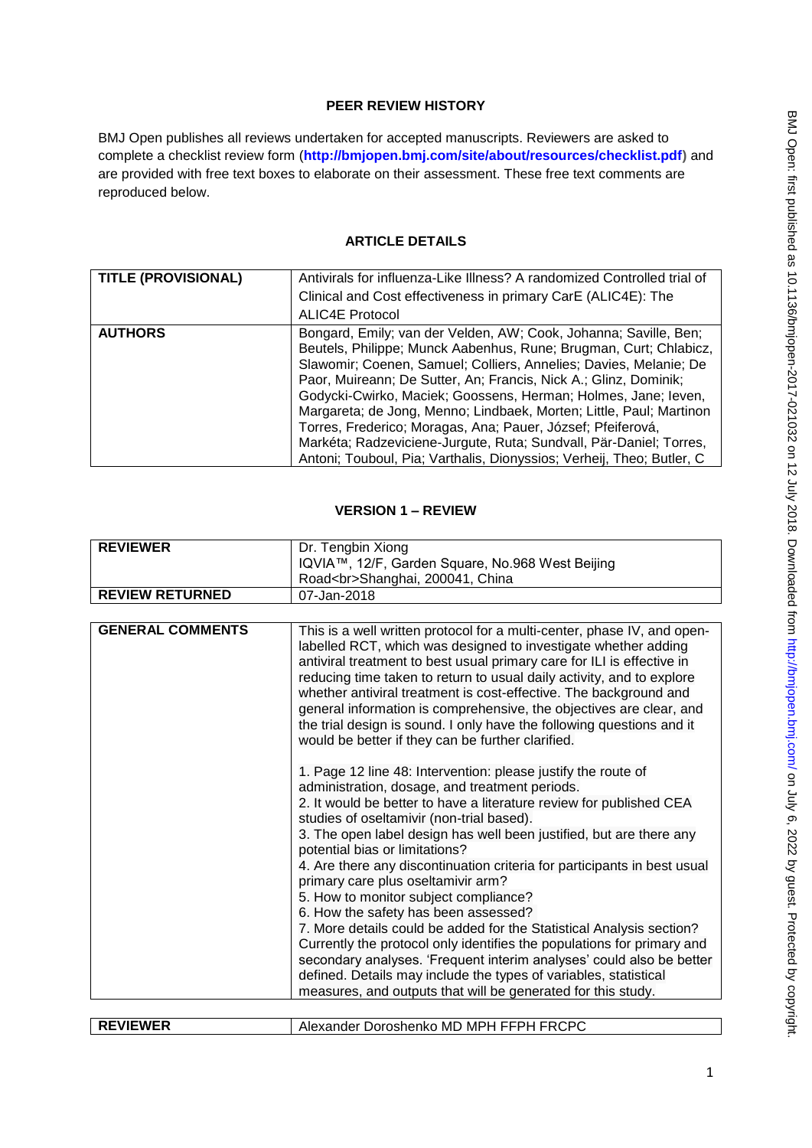### **PEER REVIEW HISTORY**

BMJ Open publishes all reviews undertaken for accepted manuscripts. Reviewers are asked to complete a checklist review form (**[http://bmjopen.bmj.com/site/about/resources/checklist.pdf\)](http://bmjopen.bmj.com/site/about/resources/checklist.pdf)** and are provided with free text boxes to elaborate on their assessment. These free text comments are reproduced below.

#### **ARTICLE DETAILS**

| <b>TITLE (PROVISIONAL)</b> | Antivirals for influenza-Like Illness? A randomized Controlled trial of<br>Clinical and Cost effectiveness in primary CarE (ALIC4E): The<br><b>ALIC4E Protocol</b>                                                                                                                                                                                                                                                                                                                                                                                                                                                                    |
|----------------------------|---------------------------------------------------------------------------------------------------------------------------------------------------------------------------------------------------------------------------------------------------------------------------------------------------------------------------------------------------------------------------------------------------------------------------------------------------------------------------------------------------------------------------------------------------------------------------------------------------------------------------------------|
| <b>AUTHORS</b>             | Bongard, Emily; van der Velden, AW; Cook, Johanna; Saville, Ben;<br>Beutels, Philippe; Munck Aabenhus, Rune; Brugman, Curt; Chlabicz,<br>Slawomir; Coenen, Samuel; Colliers, Annelies; Davies, Melanie; De<br>Paor, Muireann; De Sutter, An; Francis, Nick A.; Glinz, Dominik;<br>Godycki-Cwirko, Maciek; Goossens, Herman; Holmes, Jane; leven,<br>Margareta; de Jong, Menno; Lindbaek, Morten; Little, Paul; Martinon<br>Torres, Frederico; Moragas, Ana; Pauer, József; Pfeiferová,<br>Markéta; Radzeviciene-Jurgute, Ruta; Sundvall, Pär-Daniel; Torres,<br>Antoni; Touboul, Pia; Varthalis, Dionyssios; Verheij, Theo; Butler, C |

#### **VERSION 1 – REVIEW**

| <b>REVIEWER</b>        | Dr. Tengbin Xiong                                                                   |
|------------------------|-------------------------------------------------------------------------------------|
|                        | IQVIA™, 12/F, Garden Square, No.968 West Beijing<br>Road<br>Shanghai, 200041, China |
| <b>REVIEW RETURNED</b> | 07-Jan-2018                                                                         |

| <b>GENERAL COMMENTS</b> | This is a well written protocol for a multi-center, phase IV, and open-<br>labelled RCT, which was designed to investigate whether adding<br>antiviral treatment to best usual primary care for ILI is effective in<br>reducing time taken to return to usual daily activity, and to explore<br>whether antiviral treatment is cost-effective. The background and<br>general information is comprehensive, the objectives are clear, and<br>the trial design is sound. I only have the following questions and it |
|-------------------------|-------------------------------------------------------------------------------------------------------------------------------------------------------------------------------------------------------------------------------------------------------------------------------------------------------------------------------------------------------------------------------------------------------------------------------------------------------------------------------------------------------------------|
|                         | would be better if they can be further clarified.                                                                                                                                                                                                                                                                                                                                                                                                                                                                 |
|                         | 1. Page 12 line 48: Intervention: please justify the route of<br>administration, dosage, and treatment periods.<br>2. It would be better to have a literature review for published CEA<br>studies of oseltamivir (non-trial based).<br>3. The open label design has well been justified, but are there any<br>potential bias or limitations?                                                                                                                                                                      |
|                         | 4. Are there any discontinuation criteria for participants in best usual<br>primary care plus oseltamivir arm?<br>5. How to monitor subject compliance?                                                                                                                                                                                                                                                                                                                                                           |
|                         | 6. How the safety has been assessed?<br>7. More details could be added for the Statistical Analysis section?<br>Currently the protocol only identifies the populations for primary and<br>secondary analyses. 'Frequent interim analyses' could also be better                                                                                                                                                                                                                                                    |
|                         | defined. Details may include the types of variables, statistical<br>measures, and outputs that will be generated for this study.                                                                                                                                                                                                                                                                                                                                                                                  |
|                         |                                                                                                                                                                                                                                                                                                                                                                                                                                                                                                                   |
| <b>REVIEWER</b>         | Alexander Doroshenko MD MPH FFPH FRCPC                                                                                                                                                                                                                                                                                                                                                                                                                                                                            |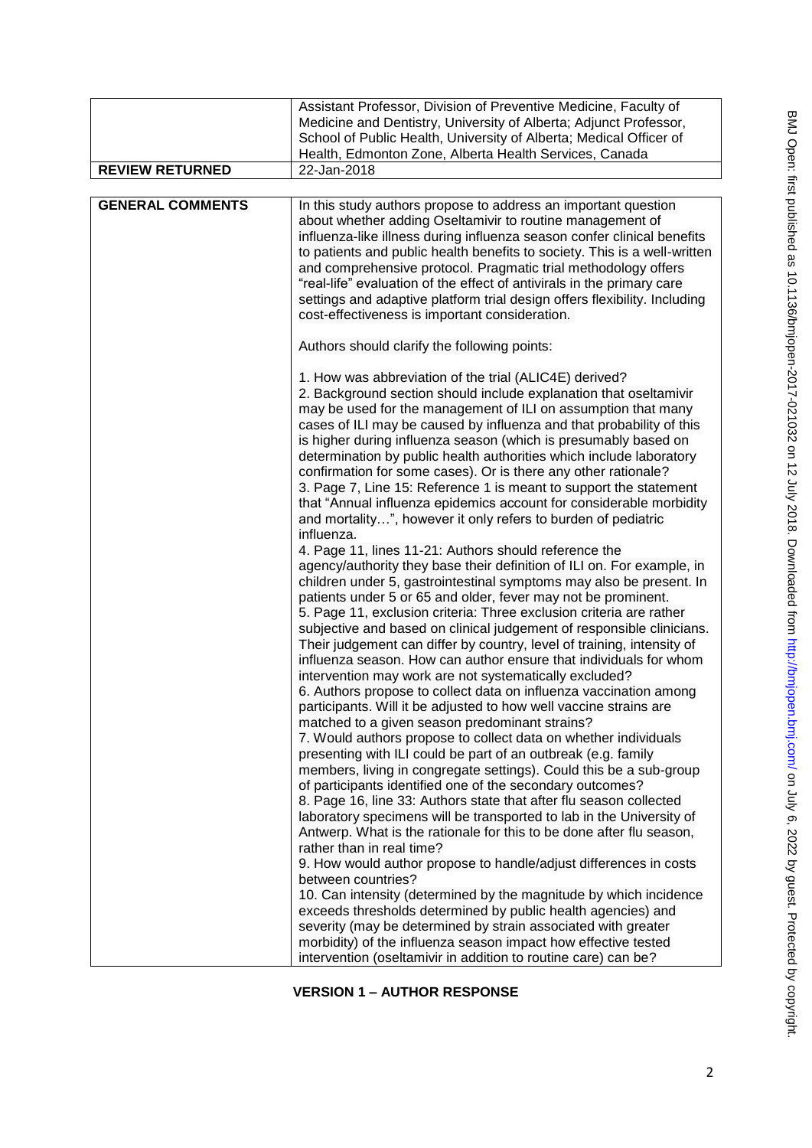| <b>REVIEW RETURNED</b><br>22-Jan-2018<br><b>GENERAL COMMENTS</b><br>In this study authors propose to address an important question<br>about whether adding Oseltamivir to routine management of<br>influenza-like illness during influenza season confer clinical benefits<br>and comprehensive protocol. Pragmatic trial methodology offers<br>"real-life" evaluation of the effect of antivirals in the primary care<br>settings and adaptive platform trial design offers flexibility. Including<br>cost-effectiveness is important consideration.<br>Authors should clarify the following points:<br>1. How was abbreviation of the trial (ALIC4E) derived?<br>2. Background section should include explanation that oseltamivir<br>may be used for the management of ILI on assumption that many<br>cases of ILI may be caused by influenza and that probability of this<br>is higher during influenza season (which is presumably based on<br>determination by public health authorities which include laboratory<br>confirmation for some cases). Or is there any other rationale?<br>3. Page 7, Line 15: Reference 1 is meant to support the statement<br>that "Annual influenza epidemics account for considerable morbidity                                                                                                                                                                                                                                                                                                                                                                                                                                 | Assistant Professor, Division of Preventive Medicine, Faculty of<br>Medicine and Dentistry, University of Alberta; Adjunct Professor,<br>School of Public Health, University of Alberta; Medical Officer of<br>Health, Edmonton Zone, Alberta Health Services, Canada |
|-----------------------------------------------------------------------------------------------------------------------------------------------------------------------------------------------------------------------------------------------------------------------------------------------------------------------------------------------------------------------------------------------------------------------------------------------------------------------------------------------------------------------------------------------------------------------------------------------------------------------------------------------------------------------------------------------------------------------------------------------------------------------------------------------------------------------------------------------------------------------------------------------------------------------------------------------------------------------------------------------------------------------------------------------------------------------------------------------------------------------------------------------------------------------------------------------------------------------------------------------------------------------------------------------------------------------------------------------------------------------------------------------------------------------------------------------------------------------------------------------------------------------------------------------------------------------------------------------------------------------------------------------------------------------|-----------------------------------------------------------------------------------------------------------------------------------------------------------------------------------------------------------------------------------------------------------------------|
|                                                                                                                                                                                                                                                                                                                                                                                                                                                                                                                                                                                                                                                                                                                                                                                                                                                                                                                                                                                                                                                                                                                                                                                                                                                                                                                                                                                                                                                                                                                                                                                                                                                                       |                                                                                                                                                                                                                                                                       |
|                                                                                                                                                                                                                                                                                                                                                                                                                                                                                                                                                                                                                                                                                                                                                                                                                                                                                                                                                                                                                                                                                                                                                                                                                                                                                                                                                                                                                                                                                                                                                                                                                                                                       | to patients and public health benefits to society. This is a well-written                                                                                                                                                                                             |
| influenza.<br>4. Page 11, lines 11-21: Authors should reference the<br>agency/authority they base their definition of ILI on. For example, in<br>children under 5, gastrointestinal symptoms may also be present. In<br>patients under 5 or 65 and older, fever may not be prominent.<br>5. Page 11, exclusion criteria: Three exclusion criteria are rather<br>subjective and based on clinical judgement of responsible clinicians.<br>Their judgement can differ by country, level of training, intensity of<br>influenza season. How can author ensure that individuals for whom<br>intervention may work are not systematically excluded?<br>6. Authors propose to collect data on influenza vaccination among<br>participants. Will it be adjusted to how well vaccine strains are<br>matched to a given season predominant strains?<br>7. Would authors propose to collect data on whether individuals<br>presenting with ILI could be part of an outbreak (e.g. family<br>members, living in congregate settings). Could this be a sub-group<br>of participants identified one of the secondary outcomes?<br>8. Page 16, line 33: Authors state that after flu season collected<br>laboratory specimens will be transported to lab in the University of<br>Antwerp. What is the rationale for this to be done after flu season,<br>rather than in real time?<br>9. How would author propose to handle/adjust differences in costs<br>between countries?<br>10. Can intensity (determined by the magnitude by which incidence<br>exceeds thresholds determined by public health agencies) and<br>severity (may be determined by strain associated with greater | and mortality", however it only refers to burden of pediatric                                                                                                                                                                                                         |
| morbidity) of the influenza season impact how effective tested<br>intervention (oseltamivir in addition to routine care) can be?                                                                                                                                                                                                                                                                                                                                                                                                                                                                                                                                                                                                                                                                                                                                                                                                                                                                                                                                                                                                                                                                                                                                                                                                                                                                                                                                                                                                                                                                                                                                      |                                                                                                                                                                                                                                                                       |

**VERSION 1 – AUTHOR RESPONSE**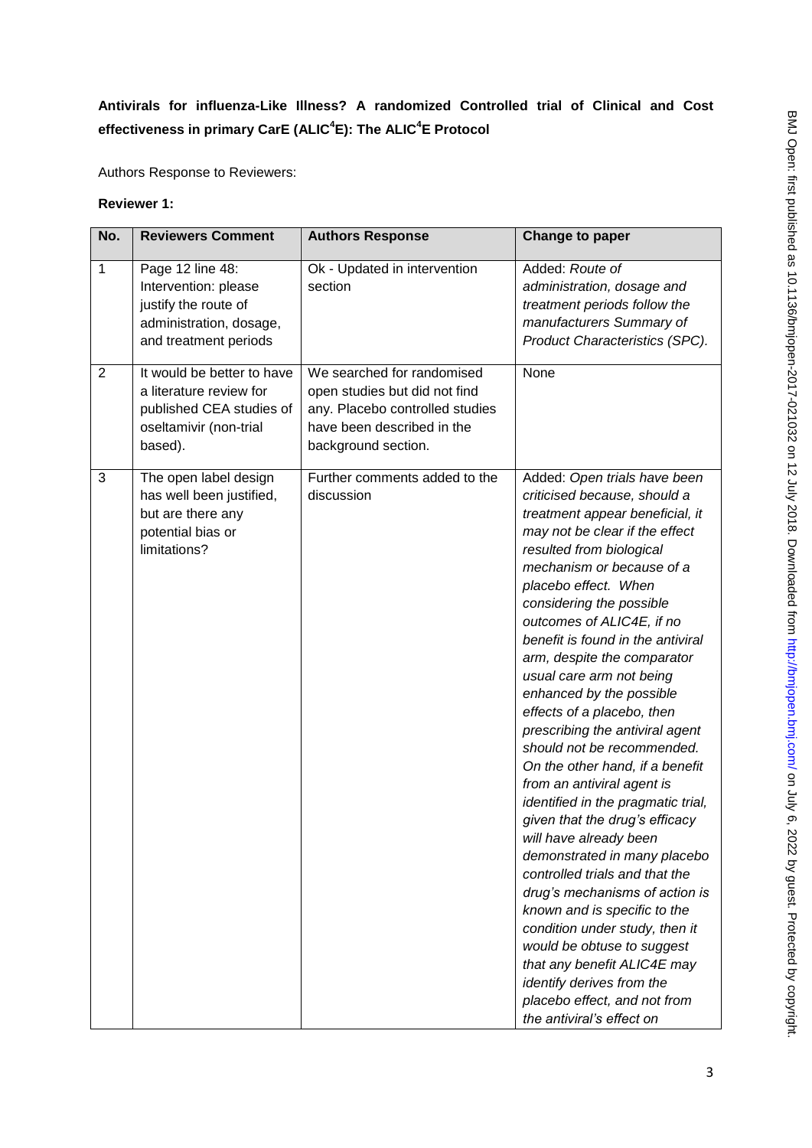# **Antivirals for influenza-Like Illness? A randomized Controlled trial of Clinical and Cost effectiveness in primary CarE (ALIC<sup>4</sup> E): The ALIC<sup>4</sup> E Protocol**

Authors Response to Reviewers:

#### **Reviewer 1:**

| No.            | <b>Reviewers Comment</b>                                                                                               | <b>Authors Response</b>                                                                                                                             | <b>Change to paper</b>                                                                                                                                                                                                                                                                                                                                                                                                                                                                                                                                                                                                                                                                                                                                                                                                                                                                                                                                                                                 |
|----------------|------------------------------------------------------------------------------------------------------------------------|-----------------------------------------------------------------------------------------------------------------------------------------------------|--------------------------------------------------------------------------------------------------------------------------------------------------------------------------------------------------------------------------------------------------------------------------------------------------------------------------------------------------------------------------------------------------------------------------------------------------------------------------------------------------------------------------------------------------------------------------------------------------------------------------------------------------------------------------------------------------------------------------------------------------------------------------------------------------------------------------------------------------------------------------------------------------------------------------------------------------------------------------------------------------------|
| $\mathbf{1}$   | Page 12 line 48:<br>Intervention: please<br>justify the route of<br>administration, dosage,<br>and treatment periods   | Ok - Updated in intervention<br>section                                                                                                             | Added: Route of<br>administration, dosage and<br>treatment periods follow the<br>manufacturers Summary of<br>Product Characteristics (SPC).                                                                                                                                                                                                                                                                                                                                                                                                                                                                                                                                                                                                                                                                                                                                                                                                                                                            |
| $\overline{2}$ | It would be better to have<br>a literature review for<br>published CEA studies of<br>oseltamivir (non-trial<br>based). | We searched for randomised<br>open studies but did not find<br>any. Placebo controlled studies<br>have been described in the<br>background section. | None                                                                                                                                                                                                                                                                                                                                                                                                                                                                                                                                                                                                                                                                                                                                                                                                                                                                                                                                                                                                   |
| 3              | The open label design<br>has well been justified,<br>but are there any<br>potential bias or<br>limitations?            | Further comments added to the<br>discussion                                                                                                         | Added: Open trials have been<br>criticised because, should a<br>treatment appear beneficial, it<br>may not be clear if the effect<br>resulted from biological<br>mechanism or because of a<br>placebo effect. When<br>considering the possible<br>outcomes of ALIC4E, if no<br>benefit is found in the antiviral<br>arm, despite the comparator<br>usual care arm not being<br>enhanced by the possible<br>effects of a placebo, then<br>prescribing the antiviral agent<br>should not be recommended.<br>On the other hand, if a benefit<br>from an antiviral agent is<br>identified in the pragmatic trial,<br>given that the drug's efficacy<br>will have already been<br>demonstrated in many placebo<br>controlled trials and that the<br>drug's mechanisms of action is<br>known and is specific to the<br>condition under study, then it<br>would be obtuse to suggest<br>that any benefit ALIC4E may<br>identify derives from the<br>placebo effect, and not from<br>the antiviral's effect on |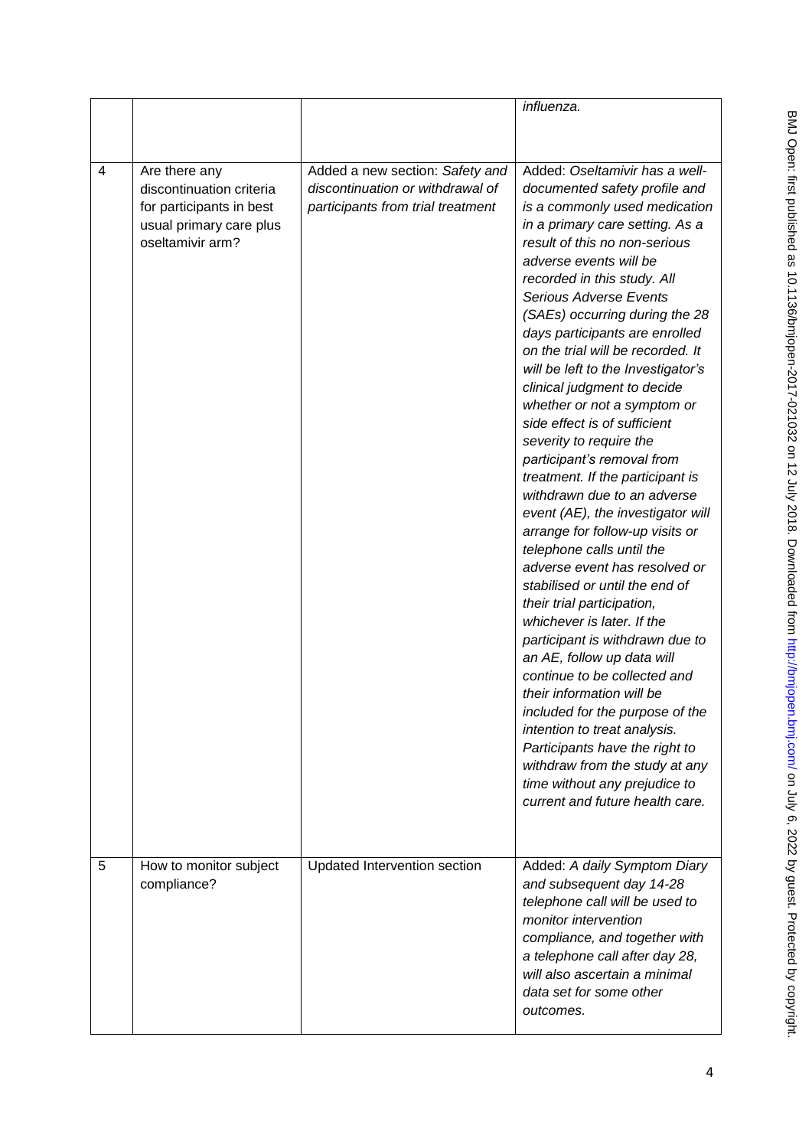|                |                                                                                                                      |                                                                                                          | influenza.                                                                                                                                                                                                                                                                                                                                                                                                                                                                                                                                                                                                                                                                                                                                   |
|----------------|----------------------------------------------------------------------------------------------------------------------|----------------------------------------------------------------------------------------------------------|----------------------------------------------------------------------------------------------------------------------------------------------------------------------------------------------------------------------------------------------------------------------------------------------------------------------------------------------------------------------------------------------------------------------------------------------------------------------------------------------------------------------------------------------------------------------------------------------------------------------------------------------------------------------------------------------------------------------------------------------|
|                |                                                                                                                      |                                                                                                          |                                                                                                                                                                                                                                                                                                                                                                                                                                                                                                                                                                                                                                                                                                                                              |
|                |                                                                                                                      |                                                                                                          |                                                                                                                                                                                                                                                                                                                                                                                                                                                                                                                                                                                                                                                                                                                                              |
| $\overline{4}$ | Are there any<br>discontinuation criteria<br>for participants in best<br>usual primary care plus<br>oseltamivir arm? | Added a new section: Safety and<br>discontinuation or withdrawal of<br>participants from trial treatment | Added: Oseltamivir has a well-<br>documented safety profile and<br>is a commonly used medication<br>in a primary care setting. As a<br>result of this no non-serious<br>adverse events will be<br>recorded in this study. All<br><b>Serious Adverse Events</b><br>(SAEs) occurring during the 28<br>days participants are enrolled<br>on the trial will be recorded. It<br>will be left to the Investigator's<br>clinical judgment to decide<br>whether or not a symptom or<br>side effect is of sufficient<br>severity to require the<br>participant's removal from<br>treatment. If the participant is<br>withdrawn due to an adverse<br>event (AE), the investigator will<br>arrange for follow-up visits or<br>telephone calls until the |
|                |                                                                                                                      |                                                                                                          | adverse event has resolved or<br>stabilised or until the end of<br>their trial participation,<br>whichever is later. If the<br>participant is withdrawn due to<br>an AE, follow up data will<br>continue to be collected and<br>their information will be<br>included for the purpose of the<br>intention to treat analysis.<br>Participants have the right to<br>withdraw from the study at any<br>time without any prejudice to<br>current and future health care.                                                                                                                                                                                                                                                                         |
| 5              | How to monitor subject<br>compliance?                                                                                | Updated Intervention section                                                                             | Added: A daily Symptom Diary<br>and subsequent day 14-28<br>telephone call will be used to<br>monitor intervention<br>compliance, and together with<br>a telephone call after day 28,<br>will also ascertain a minimal<br>data set for some other<br>outcomes.                                                                                                                                                                                                                                                                                                                                                                                                                                                                               |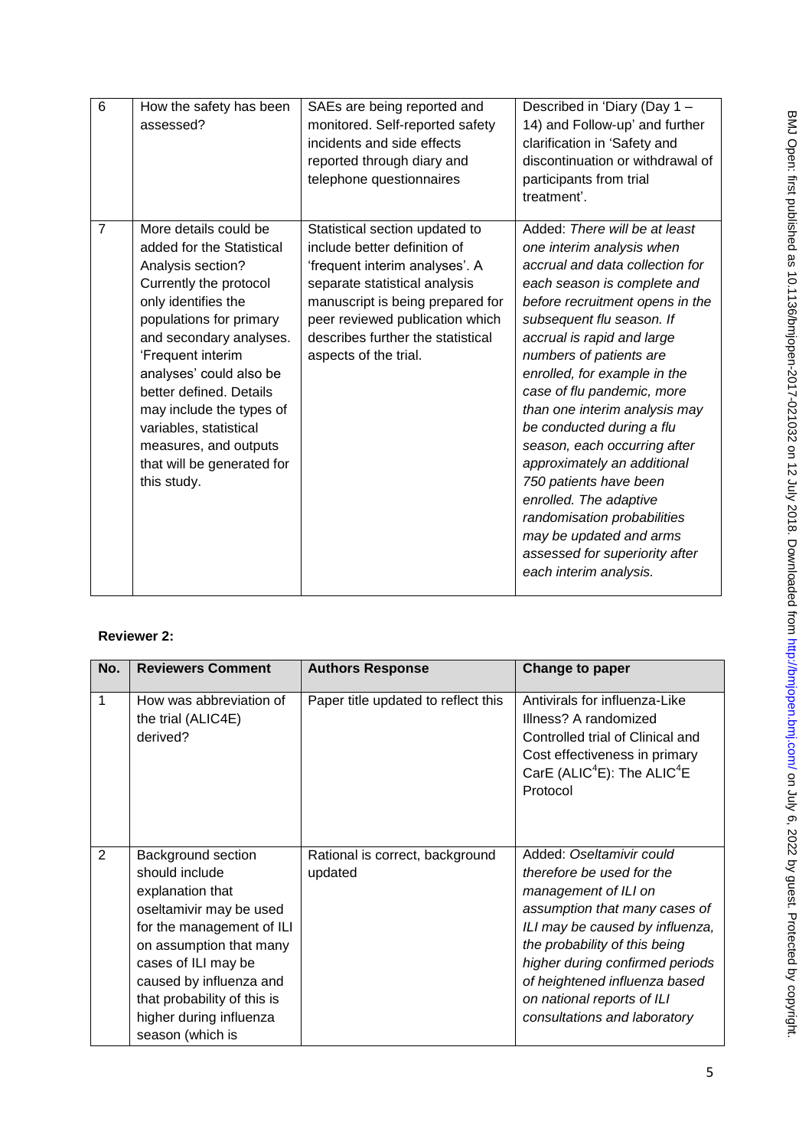| 6              | How the safety has been<br>assessed?                                                                                                                                                                                                                                                                                                                                                  | SAEs are being reported and<br>monitored. Self-reported safety<br>incidents and side effects<br>reported through diary and<br>telephone questionnaires                                                                                                                 | Described in 'Diary (Day 1 -<br>14) and Follow-up' and further<br>clarification in 'Safety and<br>discontinuation or withdrawal of<br>participants from trial<br>treatment'.                                                                                                                                                                                                                                                                                                                                                                                                                                               |
|----------------|---------------------------------------------------------------------------------------------------------------------------------------------------------------------------------------------------------------------------------------------------------------------------------------------------------------------------------------------------------------------------------------|------------------------------------------------------------------------------------------------------------------------------------------------------------------------------------------------------------------------------------------------------------------------|----------------------------------------------------------------------------------------------------------------------------------------------------------------------------------------------------------------------------------------------------------------------------------------------------------------------------------------------------------------------------------------------------------------------------------------------------------------------------------------------------------------------------------------------------------------------------------------------------------------------------|
| $\overline{7}$ | More details could be<br>added for the Statistical<br>Analysis section?<br>Currently the protocol<br>only identifies the<br>populations for primary<br>and secondary analyses.<br>'Frequent interim<br>analyses' could also be<br>better defined. Details<br>may include the types of<br>variables, statistical<br>measures, and outputs<br>that will be generated for<br>this study. | Statistical section updated to<br>include better definition of<br>'frequent interim analyses'. A<br>separate statistical analysis<br>manuscript is being prepared for<br>peer reviewed publication which<br>describes further the statistical<br>aspects of the trial. | Added: There will be at least<br>one interim analysis when<br>accrual and data collection for<br>each season is complete and<br>before recruitment opens in the<br>subsequent flu season. If<br>accrual is rapid and large<br>numbers of patients are<br>enrolled, for example in the<br>case of flu pandemic, more<br>than one interim analysis may<br>be conducted during a flu<br>season, each occurring after<br>approximately an additional<br>750 patients have been<br>enrolled. The adaptive<br>randomisation probabilities<br>may be updated and arms<br>assessed for superiority after<br>each interim analysis. |

# **Reviewer 2:**

| No. | <b>Reviewers Comment</b>                                                                                                                                                                                                                                                    | <b>Authors Response</b>                    | Change to paper                                                                                                                                                                                                                                                                                                      |
|-----|-----------------------------------------------------------------------------------------------------------------------------------------------------------------------------------------------------------------------------------------------------------------------------|--------------------------------------------|----------------------------------------------------------------------------------------------------------------------------------------------------------------------------------------------------------------------------------------------------------------------------------------------------------------------|
| 1   | How was abbreviation of<br>the trial (ALIC4E)<br>derived?                                                                                                                                                                                                                   | Paper title updated to reflect this        | Antivirals for influenza-Like<br>Illness? A randomized<br>Controlled trial of Clinical and<br>Cost effectiveness in primary<br>CarE (ALIC <sup>4</sup> E): The ALIC <sup>4</sup> E<br>Protocol                                                                                                                       |
| 2   | Background section<br>should include<br>explanation that<br>oseltamivir may be used<br>for the management of ILI<br>on assumption that many<br>cases of ILI may be<br>caused by influenza and<br>that probability of this is<br>higher during influenza<br>season (which is | Rational is correct, background<br>updated | Added: Oseltamivir could<br>therefore be used for the<br>management of ILI on<br>assumption that many cases of<br>ILI may be caused by influenza,<br>the probability of this being<br>higher during confirmed periods<br>of heightened influenza based<br>on national reports of ILI<br>consultations and laboratory |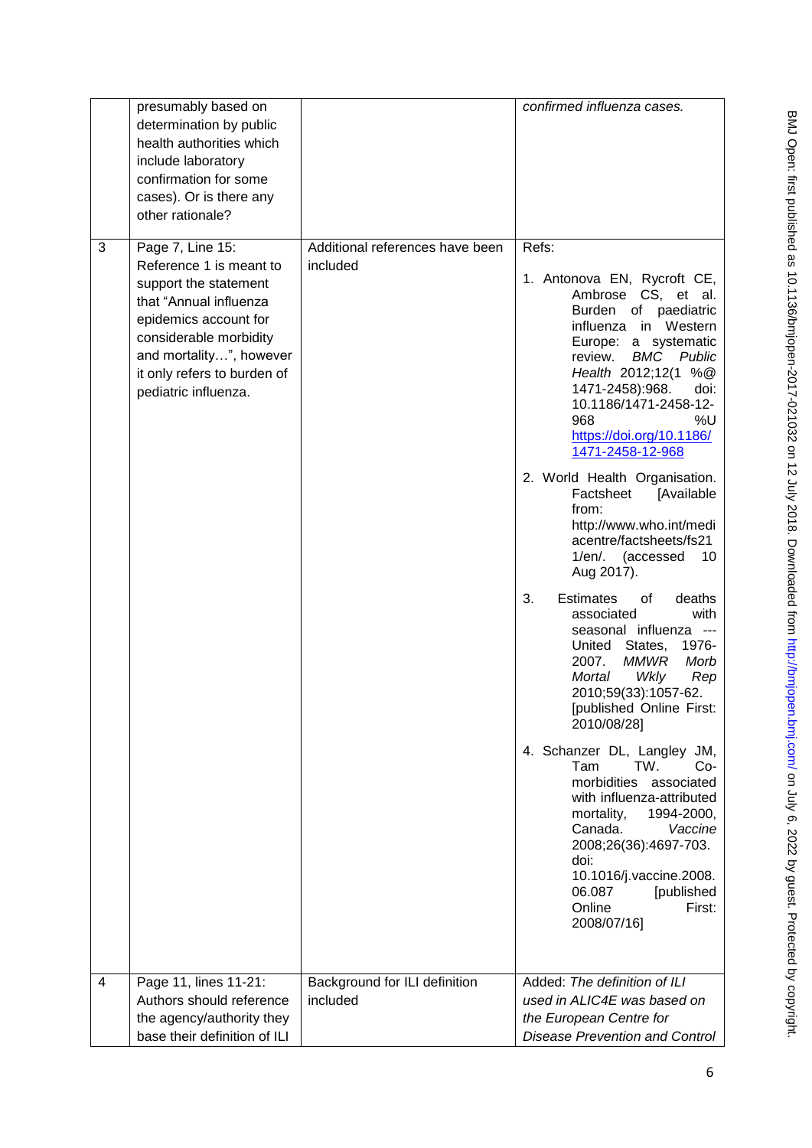|   | presumably based on<br>determination by public<br>health authorities which<br>include laboratory<br>confirmation for some<br>cases). Or is there any<br>other rationale?                                                            |                                             | confirmed influenza cases.                                                                                                                                                                                                                                                                                                                                                                                                                                                    |
|---|-------------------------------------------------------------------------------------------------------------------------------------------------------------------------------------------------------------------------------------|---------------------------------------------|-------------------------------------------------------------------------------------------------------------------------------------------------------------------------------------------------------------------------------------------------------------------------------------------------------------------------------------------------------------------------------------------------------------------------------------------------------------------------------|
| 3 | Page 7, Line 15:<br>Reference 1 is meant to<br>support the statement<br>that "Annual influenza<br>epidemics account for<br>considerable morbidity<br>and mortality", however<br>it only refers to burden of<br>pediatric influenza. | Additional references have been<br>included | Refs:<br>1. Antonova EN, Rycroft CE,<br>Ambrose CS, et al.<br>Burden of paediatric<br>influenza in Western<br>Europe: a systematic<br>review.<br><b>BMC</b> Public<br>Health 2012;12(1 %@<br>1471-2458):968.<br>doi:<br>10.1186/1471-2458-12-<br>968<br>%U<br>https://doi.org/10.1186/<br>1471-2458-12-968<br>2. World Health Organisation.<br>Factsheet<br>[Available<br>from:<br>http://www.who.int/medi<br>acentre/factsheets/fs21<br>1/en/. (accessed<br>10<br>Aug 2017). |
|   |                                                                                                                                                                                                                                     |                                             | 3.<br><b>Estimates</b><br>deaths<br>of<br>with<br>associated<br>seasonal influenza<br>$\sim$ $\sim$ $\sim$<br>1976-<br>United<br>States,<br><b>MMWR</b><br>2007.<br>Morb<br>Mortal<br>Wkly<br>Rep<br>2010;59(33):1057-62.<br>[published Online First:<br>2010/08/28]<br>4. Schanzer DL, Langley JM,<br>TW.<br>Tam<br>Co-                                                                                                                                                      |
|   |                                                                                                                                                                                                                                     |                                             | morbidities associated<br>with influenza-attributed<br>mortality,<br>1994-2000,<br>Canada.<br>Vaccine<br>2008;26(36):4697-703.<br>doi:<br>10.1016/j.vaccine.2008.<br>06.087<br>[published<br>Online<br>First:<br>2008/07/16]                                                                                                                                                                                                                                                  |
| 4 | Page 11, lines 11-21:                                                                                                                                                                                                               | Background for ILI definition               | Added: The definition of ILI                                                                                                                                                                                                                                                                                                                                                                                                                                                  |
|   | Authors should reference                                                                                                                                                                                                            | included                                    | used in ALIC4E was based on                                                                                                                                                                                                                                                                                                                                                                                                                                                   |
|   | the agency/authority they                                                                                                                                                                                                           |                                             | the European Centre for                                                                                                                                                                                                                                                                                                                                                                                                                                                       |
|   | base their definition of ILI                                                                                                                                                                                                        |                                             | <b>Disease Prevention and Control</b>                                                                                                                                                                                                                                                                                                                                                                                                                                         |
|   |                                                                                                                                                                                                                                     |                                             |                                                                                                                                                                                                                                                                                                                                                                                                                                                                               |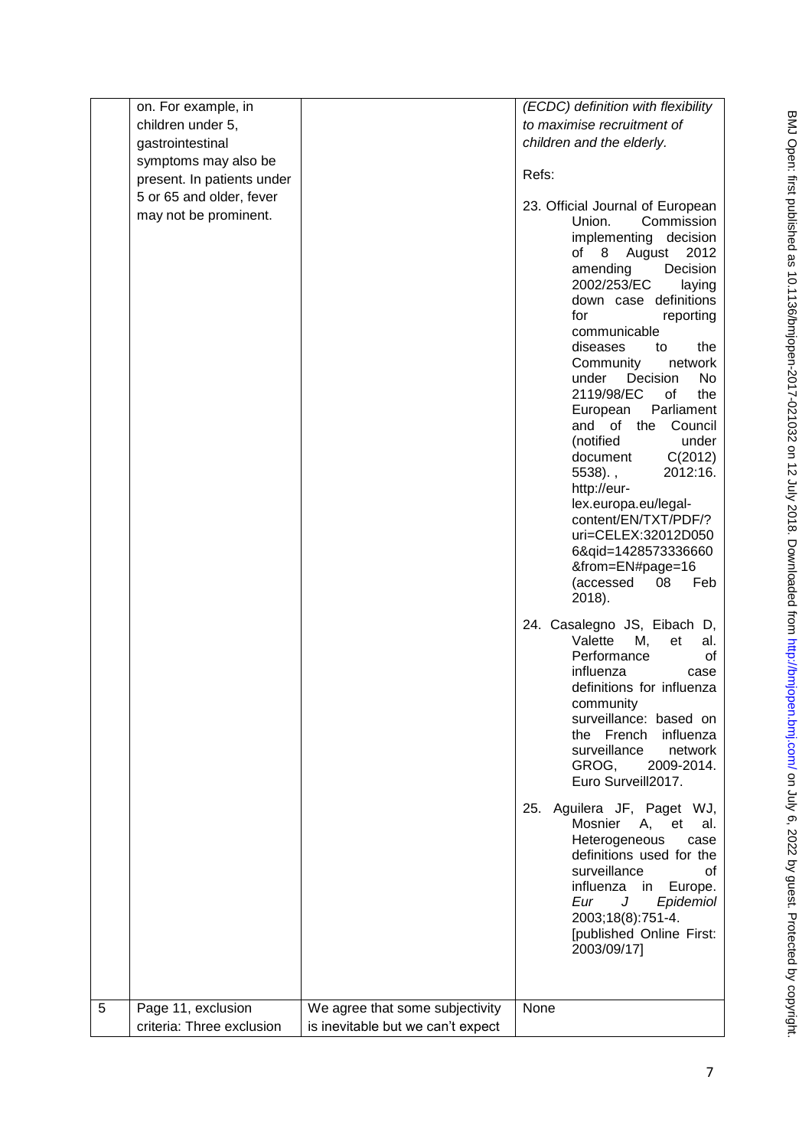|   | on. For example, in        |                                   | (ECDC) definition with flexibility                                                                                                                                                                                                                                                                                                                                                                                                                                                                                                                                                                                               |
|---|----------------------------|-----------------------------------|----------------------------------------------------------------------------------------------------------------------------------------------------------------------------------------------------------------------------------------------------------------------------------------------------------------------------------------------------------------------------------------------------------------------------------------------------------------------------------------------------------------------------------------------------------------------------------------------------------------------------------|
|   | children under 5,          |                                   | to maximise recruitment of                                                                                                                                                                                                                                                                                                                                                                                                                                                                                                                                                                                                       |
|   | gastrointestinal           |                                   | children and the elderly.                                                                                                                                                                                                                                                                                                                                                                                                                                                                                                                                                                                                        |
|   | symptoms may also be       |                                   |                                                                                                                                                                                                                                                                                                                                                                                                                                                                                                                                                                                                                                  |
|   | present. In patients under |                                   | Refs:                                                                                                                                                                                                                                                                                                                                                                                                                                                                                                                                                                                                                            |
|   | 5 or 65 and older, fever   |                                   |                                                                                                                                                                                                                                                                                                                                                                                                                                                                                                                                                                                                                                  |
|   | may not be prominent.      |                                   | 23. Official Journal of European<br>Commission<br>Union.<br>implementing<br>decision<br>of 8 August<br>2012<br>Decision<br>amending<br>2002/253/EC<br>laying<br>down case definitions<br>for<br>reporting<br>communicable<br>diseases<br>to<br>the<br>Community<br>network<br>under<br>Decision<br>No.<br>2119/98/EC<br>of<br>the<br>Parliament<br>European<br>Council<br>and of the<br>(notified<br>under<br>C(2012)<br>document<br>2012:16.<br>$5538$ ).,<br>http://eur-<br>lex.europa.eu/legal-<br>content/EN/TXT/PDF/?<br>uri=CELEX:32012D050<br>6&qid=1428573336660<br>&from=EN#page=16<br>(accessed<br>08<br>Feb<br>2018). |
|   |                            |                                   | 24. Casalegno JS, Eibach D,<br>Valette<br>М,<br>et<br>al.<br>Performance<br>οf<br>influenza<br>case<br>definitions for influenza<br>community<br>surveillance: based on<br>the French<br>influenza<br>surveillance<br>network<br>GROG,<br>2009-2014.<br>Euro Surveill2017.                                                                                                                                                                                                                                                                                                                                                       |
|   |                            |                                   | 25. Aguilera JF, Paget WJ,<br>Mosnier<br>А,<br>et<br>al.<br>Heterogeneous<br>case<br>definitions used for the<br>surveillance<br>οf<br>influenza in Europe.<br>Eur<br>J<br>Epidemiol<br>2003;18(8):751-4.<br>[published Online First:<br>2003/09/17]                                                                                                                                                                                                                                                                                                                                                                             |
| 5 | Page 11, exclusion         | We agree that some subjectivity   | None                                                                                                                                                                                                                                                                                                                                                                                                                                                                                                                                                                                                                             |
|   | criteria: Three exclusion  | is inevitable but we can't expect |                                                                                                                                                                                                                                                                                                                                                                                                                                                                                                                                                                                                                                  |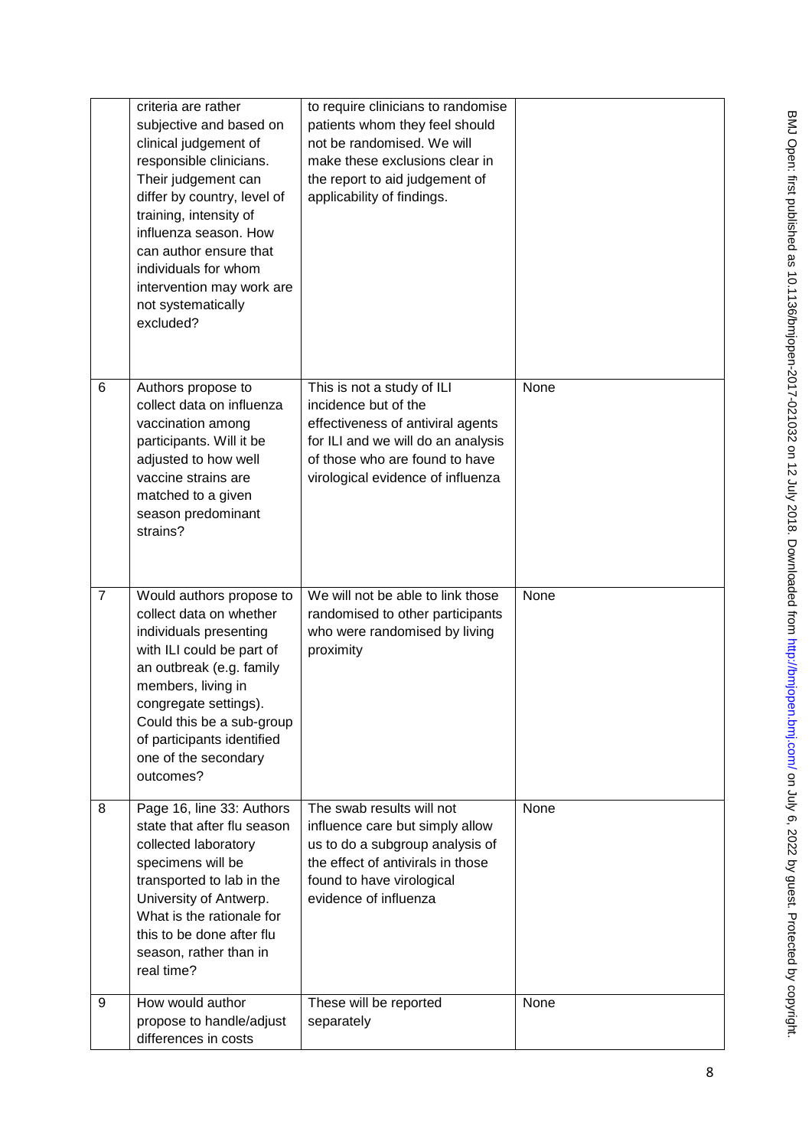|                | criteria are rather<br>subjective and based on<br>clinical judgement of<br>responsible clinicians.<br>Their judgement can<br>differ by country, level of<br>training, intensity of<br>influenza season. How<br>can author ensure that<br>individuals for whom<br>intervention may work are<br>not systematically<br>excluded? | to require clinicians to randomise<br>patients whom they feel should<br>not be randomised. We will<br>make these exclusions clear in<br>the report to aid judgement of<br>applicability of findings. |      |
|----------------|-------------------------------------------------------------------------------------------------------------------------------------------------------------------------------------------------------------------------------------------------------------------------------------------------------------------------------|------------------------------------------------------------------------------------------------------------------------------------------------------------------------------------------------------|------|
| 6              | Authors propose to<br>collect data on influenza<br>vaccination among<br>participants. Will it be<br>adjusted to how well<br>vaccine strains are<br>matched to a given<br>season predominant<br>strains?                                                                                                                       | This is not a study of ILI<br>incidence but of the<br>effectiveness of antiviral agents<br>for ILI and we will do an analysis<br>of those who are found to have<br>virological evidence of influenza | None |
| $\overline{7}$ | Would authors propose to<br>collect data on whether<br>individuals presenting<br>with ILI could be part of<br>an outbreak (e.g. family<br>members, living in<br>congregate settings).<br>Could this be a sub-group<br>of participants identified<br>one of the secondary<br>outcomes?                                         | We will not be able to link those<br>randomised to other participants<br>who were randomised by living<br>proximity                                                                                  | None |
| 8              | Page 16, line 33: Authors<br>state that after flu season<br>collected laboratory<br>specimens will be<br>transported to lab in the<br>University of Antwerp.<br>What is the rationale for<br>this to be done after flu<br>season, rather than in<br>real time?                                                                | The swab results will not<br>influence care but simply allow<br>us to do a subgroup analysis of<br>the effect of antivirals in those<br>found to have virological<br>evidence of influenza           | None |
| 9              | How would author<br>propose to handle/adjust<br>differences in costs                                                                                                                                                                                                                                                          | These will be reported<br>separately                                                                                                                                                                 | None |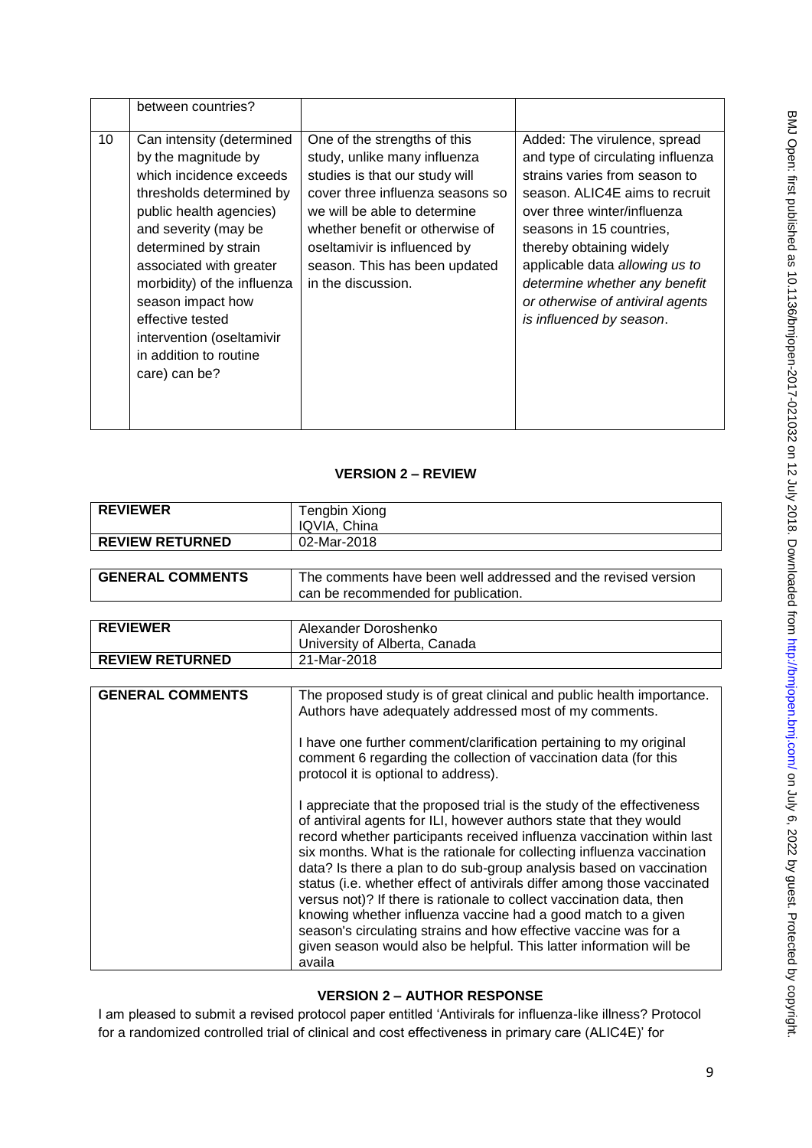|    | between countries?                                                                                                                                                                                                                                                                                                                                            |                                                                                                                                                                                                                                                                                              |                                                                                                                                                                                                                                                                                                                                                                |
|----|---------------------------------------------------------------------------------------------------------------------------------------------------------------------------------------------------------------------------------------------------------------------------------------------------------------------------------------------------------------|----------------------------------------------------------------------------------------------------------------------------------------------------------------------------------------------------------------------------------------------------------------------------------------------|----------------------------------------------------------------------------------------------------------------------------------------------------------------------------------------------------------------------------------------------------------------------------------------------------------------------------------------------------------------|
| 10 | Can intensity (determined<br>by the magnitude by<br>which incidence exceeds<br>thresholds determined by<br>public health agencies)<br>and severity (may be<br>determined by strain<br>associated with greater<br>morbidity) of the influenza<br>season impact how<br>effective tested<br>intervention (oseltamivir<br>in addition to routine<br>care) can be? | One of the strengths of this<br>study, unlike many influenza<br>studies is that our study will<br>cover three influenza seasons so<br>we will be able to determine<br>whether benefit or otherwise of<br>oseltamivir is influenced by<br>season. This has been updated<br>in the discussion. | Added: The virulence, spread<br>and type of circulating influenza<br>strains varies from season to<br>season. ALIC4E aims to recruit<br>over three winter/influenza<br>seasons in 15 countries,<br>thereby obtaining widely<br>applicable data allowing us to<br>determine whether any benefit<br>or otherwise of antiviral agents<br>is influenced by season. |

## **VERSION 2 – REVIEW**

| <b>REVIEWER</b>         | <b>Tengbin Xiong</b>                                                                                                                                                                                                                                                                                                                                                                                                                                                                                                                                                                                                                                                                                                                             |  |
|-------------------------|--------------------------------------------------------------------------------------------------------------------------------------------------------------------------------------------------------------------------------------------------------------------------------------------------------------------------------------------------------------------------------------------------------------------------------------------------------------------------------------------------------------------------------------------------------------------------------------------------------------------------------------------------------------------------------------------------------------------------------------------------|--|
|                         | IQVIA, China                                                                                                                                                                                                                                                                                                                                                                                                                                                                                                                                                                                                                                                                                                                                     |  |
| <b>REVIEW RETURNED</b>  | 02-Mar-2018                                                                                                                                                                                                                                                                                                                                                                                                                                                                                                                                                                                                                                                                                                                                      |  |
|                         |                                                                                                                                                                                                                                                                                                                                                                                                                                                                                                                                                                                                                                                                                                                                                  |  |
| <b>GENERAL COMMENTS</b> | The comments have been well addressed and the revised version                                                                                                                                                                                                                                                                                                                                                                                                                                                                                                                                                                                                                                                                                    |  |
|                         | can be recommended for publication.                                                                                                                                                                                                                                                                                                                                                                                                                                                                                                                                                                                                                                                                                                              |  |
|                         |                                                                                                                                                                                                                                                                                                                                                                                                                                                                                                                                                                                                                                                                                                                                                  |  |
| <b>REVIEWER</b>         | Alexander Doroshenko                                                                                                                                                                                                                                                                                                                                                                                                                                                                                                                                                                                                                                                                                                                             |  |
|                         | University of Alberta, Canada                                                                                                                                                                                                                                                                                                                                                                                                                                                                                                                                                                                                                                                                                                                    |  |
| <b>REVIEW RETURNED</b>  | 21-Mar-2018                                                                                                                                                                                                                                                                                                                                                                                                                                                                                                                                                                                                                                                                                                                                      |  |
|                         |                                                                                                                                                                                                                                                                                                                                                                                                                                                                                                                                                                                                                                                                                                                                                  |  |
| <b>GENERAL COMMENTS</b> | The proposed study is of great clinical and public health importance.<br>Authors have adequately addressed most of my comments.                                                                                                                                                                                                                                                                                                                                                                                                                                                                                                                                                                                                                  |  |
|                         | I have one further comment/clarification pertaining to my original<br>comment 6 regarding the collection of vaccination data (for this<br>protocol it is optional to address).                                                                                                                                                                                                                                                                                                                                                                                                                                                                                                                                                                   |  |
|                         | I appreciate that the proposed trial is the study of the effectiveness<br>of antiviral agents for ILI, however authors state that they would<br>record whether participants received influenza vaccination within last<br>six months. What is the rationale for collecting influenza vaccination<br>data? Is there a plan to do sub-group analysis based on vaccination<br>status (i.e. whether effect of antivirals differ among those vaccinated<br>versus not)? If there is rationale to collect vaccination data, then<br>knowing whether influenza vaccine had a good match to a given<br>season's circulating strains and how effective vaccine was for a<br>given season would also be helpful. This latter information will be<br>availa |  |

### **VERSION 2 – AUTHOR RESPONSE**

I am pleased to submit a revised protocol paper entitled 'Antivirals for influenza-like illness? Protocol for a randomized controlled trial of clinical and cost effectiveness in primary care (ALIC4E)' for